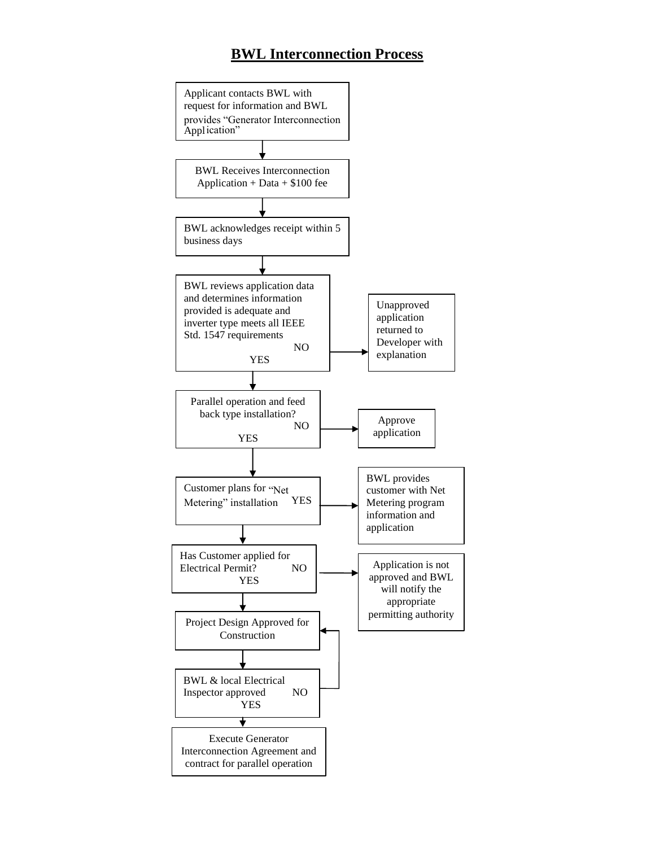## **BWL Interconnection Process**

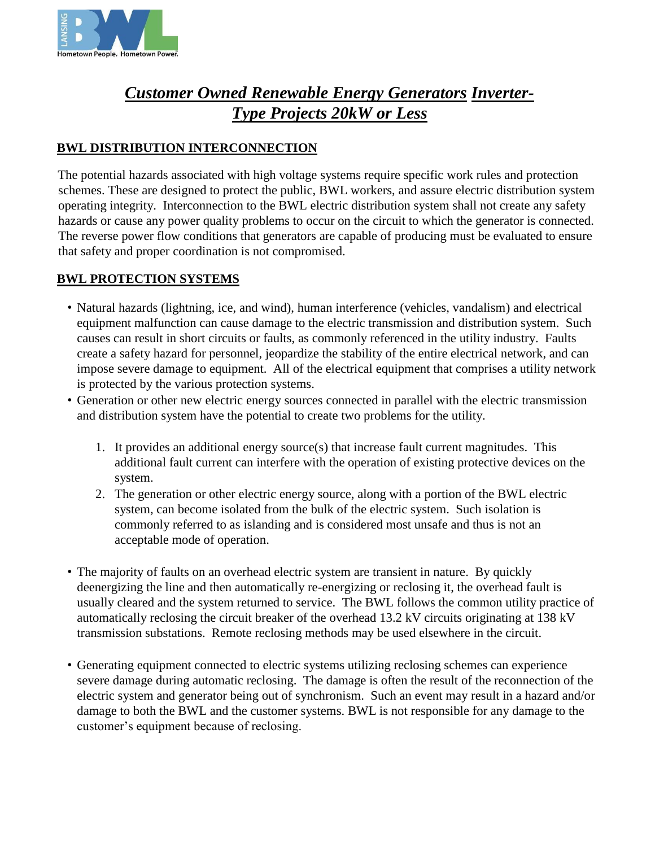

# *Customer Owned Renewable Energy Generators Inverter-Type Projects 20kW or Less*

### **BWL DISTRIBUTION INTERCONNECTION**

The potential hazards associated with high voltage systems require specific work rules and protection schemes. These are designed to protect the public, BWL workers, and assure electric distribution system operating integrity. Interconnection to the BWL electric distribution system shall not create any safety hazards or cause any power quality problems to occur on the circuit to which the generator is connected. The reverse power flow conditions that generators are capable of producing must be evaluated to ensure that safety and proper coordination is not compromised.

### **BWL PROTECTION SYSTEMS**

- Natural hazards (lightning, ice, and wind), human interference (vehicles, vandalism) and electrical equipment malfunction can cause damage to the electric transmission and distribution system. Such causes can result in short circuits or faults, as commonly referenced in the utility industry. Faults create a safety hazard for personnel, jeopardize the stability of the entire electrical network, and can impose severe damage to equipment. All of the electrical equipment that comprises a utility network is protected by the various protection systems.
- Generation or other new electric energy sources connected in parallel with the electric transmission and distribution system have the potential to create two problems for the utility.
	- 1. It provides an additional energy source(s) that increase fault current magnitudes. This additional fault current can interfere with the operation of existing protective devices on the system.
	- 2. The generation or other electric energy source, along with a portion of the BWL electric system, can become isolated from the bulk of the electric system. Such isolation is commonly referred to as islanding and is considered most unsafe and thus is not an acceptable mode of operation.
- The majority of faults on an overhead electric system are transient in nature. By quickly deenergizing the line and then automatically re-energizing or reclosing it, the overhead fault is usually cleared and the system returned to service. The BWL follows the common utility practice of automatically reclosing the circuit breaker of the overhead 13.2 kV circuits originating at 138 kV transmission substations. Remote reclosing methods may be used elsewhere in the circuit.
- Generating equipment connected to electric systems utilizing reclosing schemes can experience severe damage during automatic reclosing. The damage is often the result of the reconnection of the electric system and generator being out of synchronism. Such an event may result in a hazard and/or damage to both the BWL and the customer systems. BWL is not responsible for any damage to the customer's equipment because of reclosing.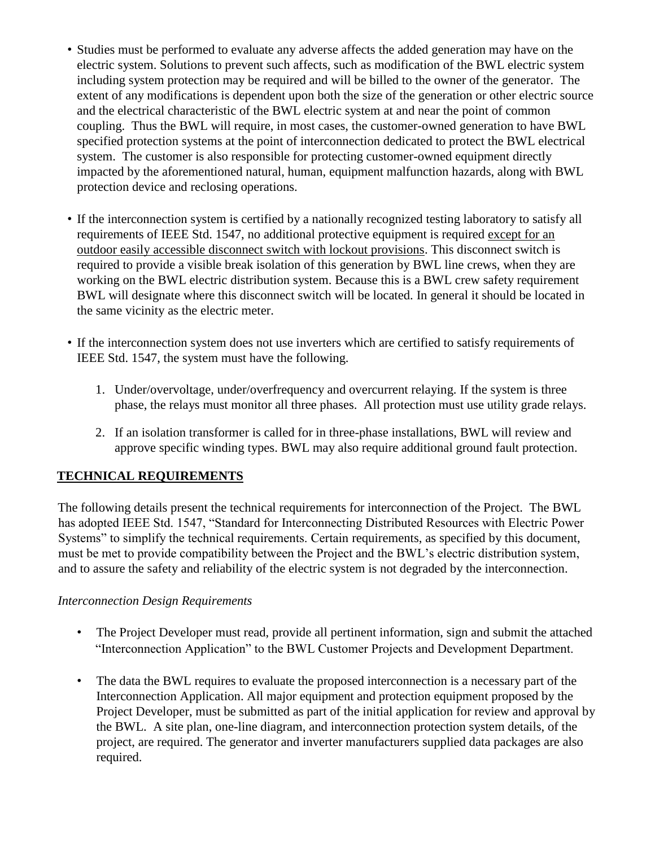- Studies must be performed to evaluate any adverse affects the added generation may have on the electric system. Solutions to prevent such affects, such as modification of the BWL electric system including system protection may be required and will be billed to the owner of the generator. The extent of any modifications is dependent upon both the size of the generation or other electric source and the electrical characteristic of the BWL electric system at and near the point of common coupling. Thus the BWL will require, in most cases, the customer-owned generation to have BWL specified protection systems at the point of interconnection dedicated to protect the BWL electrical system. The customer is also responsible for protecting customer-owned equipment directly impacted by the aforementioned natural, human, equipment malfunction hazards, along with BWL protection device and reclosing operations.
- If the interconnection system is certified by a nationally recognized testing laboratory to satisfy all requirements of IEEE Std. 1547, no additional protective equipment is required except for an outdoor easily accessible disconnect switch with lockout provisions. This disconnect switch is required to provide a visible break isolation of this generation by BWL line crews, when they are working on the BWL electric distribution system. Because this is a BWL crew safety requirement BWL will designate where this disconnect switch will be located. In general it should be located in the same vicinity as the electric meter.
- If the interconnection system does not use inverters which are certified to satisfy requirements of IEEE Std. 1547, the system must have the following.
	- 1. Under/overvoltage, under/overfrequency and overcurrent relaying. If the system is three phase, the relays must monitor all three phases. All protection must use utility grade relays.
	- 2. If an isolation transformer is called for in three-phase installations, BWL will review and approve specific winding types. BWL may also require additional ground fault protection.

## **TECHNICAL REQUIREMENTS**

The following details present the technical requirements for interconnection of the Project. The BWL has adopted IEEE Std. 1547, "Standard for Interconnecting Distributed Resources with Electric Power Systems" to simplify the technical requirements. Certain requirements, as specified by this document, must be met to provide compatibility between the Project and the BWL's electric distribution system, and to assure the safety and reliability of the electric system is not degraded by the interconnection.

#### *Interconnection Design Requirements*

- The Project Developer must read, provide all pertinent information, sign and submit the attached "Interconnection Application" to the BWL Customer Projects and Development Department.
- The data the BWL requires to evaluate the proposed interconnection is a necessary part of the Interconnection Application. All major equipment and protection equipment proposed by the Project Developer, must be submitted as part of the initial application for review and approval by the BWL. A site plan, one-line diagram, and interconnection protection system details, of the project, are required. The generator and inverter manufacturers supplied data packages are also required.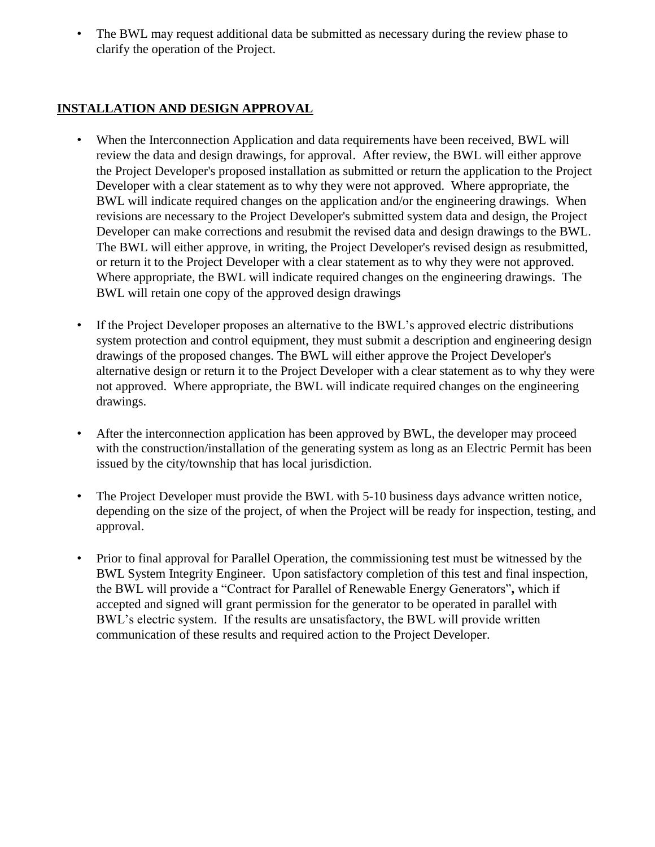• The BWL may request additional data be submitted as necessary during the review phase to clarify the operation of the Project.

#### **INSTALLATION AND DESIGN APPROVAL**

- When the Interconnection Application and data requirements have been received, BWL will review the data and design drawings, for approval. After review, the BWL will either approve the Project Developer's proposed installation as submitted or return the application to the Project Developer with a clear statement as to why they were not approved. Where appropriate, the BWL will indicate required changes on the application and/or the engineering drawings. When revisions are necessary to the Project Developer's submitted system data and design, the Project Developer can make corrections and resubmit the revised data and design drawings to the BWL. The BWL will either approve, in writing, the Project Developer's revised design as resubmitted, or return it to the Project Developer with a clear statement as to why they were not approved. Where appropriate, the BWL will indicate required changes on the engineering drawings. The BWL will retain one copy of the approved design drawings
- If the Project Developer proposes an alternative to the BWL's approved electric distributions system protection and control equipment, they must submit a description and engineering design drawings of the proposed changes. The BWL will either approve the Project Developer's alternative design or return it to the Project Developer with a clear statement as to why they were not approved. Where appropriate, the BWL will indicate required changes on the engineering drawings.
- After the interconnection application has been approved by BWL, the developer may proceed with the construction/installation of the generating system as long as an Electric Permit has been issued by the city/township that has local jurisdiction.
- The Project Developer must provide the BWL with 5-10 business days advance written notice, depending on the size of the project, of when the Project will be ready for inspection, testing, and approval.
- Prior to final approval for Parallel Operation, the commissioning test must be witnessed by the BWL System Integrity Engineer. Upon satisfactory completion of this test and final inspection, the BWL will provide a "Contract for Parallel of Renewable Energy Generators"**,** which if accepted and signed will grant permission for the generator to be operated in parallel with BWL's electric system. If the results are unsatisfactory, the BWL will provide written communication of these results and required action to the Project Developer.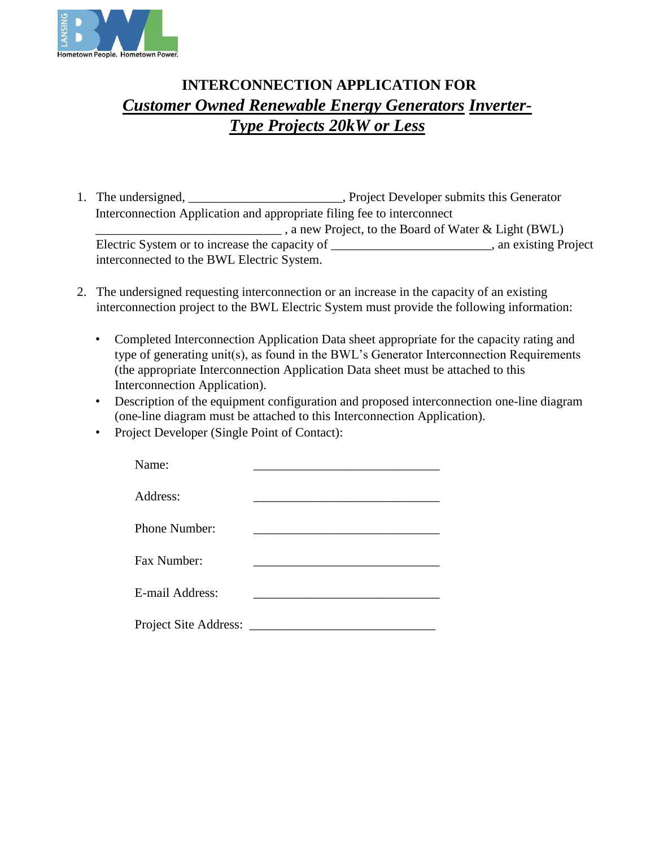

# **INTERCONNECTION APPLICATION FOR**  *Customer Owned Renewable Energy Generators Inverter-Type Projects 20kW or Less*

- 1. The undersigned, \_\_\_\_\_\_\_\_\_\_\_\_\_\_\_\_\_\_\_\_\_\_, Project Developer submits this Generator Interconnection Application and appropriate filing fee to interconnect \_\_\_\_\_\_\_\_\_\_\_\_\_\_\_\_\_\_\_\_\_\_\_\_\_\_\_\_\_ , a new Project, to the Board of Water & Light (BWL) Electric System or to increase the capacity of \_\_\_\_\_\_\_\_\_\_\_\_\_\_\_\_\_\_\_\_\_\_\_\_\_, an existing Project interconnected to the BWL Electric System.
- 2. The undersigned requesting interconnection or an increase in the capacity of an existing interconnection project to the BWL Electric System must provide the following information:
	- Completed Interconnection Application Data sheet appropriate for the capacity rating and type of generating unit(s), as found in the BWL's Generator Interconnection Requirements (the appropriate Interconnection Application Data sheet must be attached to this Interconnection Application).
	- Description of the equipment configuration and proposed interconnection one-line diagram (one-line diagram must be attached to this Interconnection Application).
	- Project Developer (Single Point of Contact):

| Name:           |  |
|-----------------|--|
| Address:        |  |
| Phone Number:   |  |
| Fax Number:     |  |
| E-mail Address: |  |
|                 |  |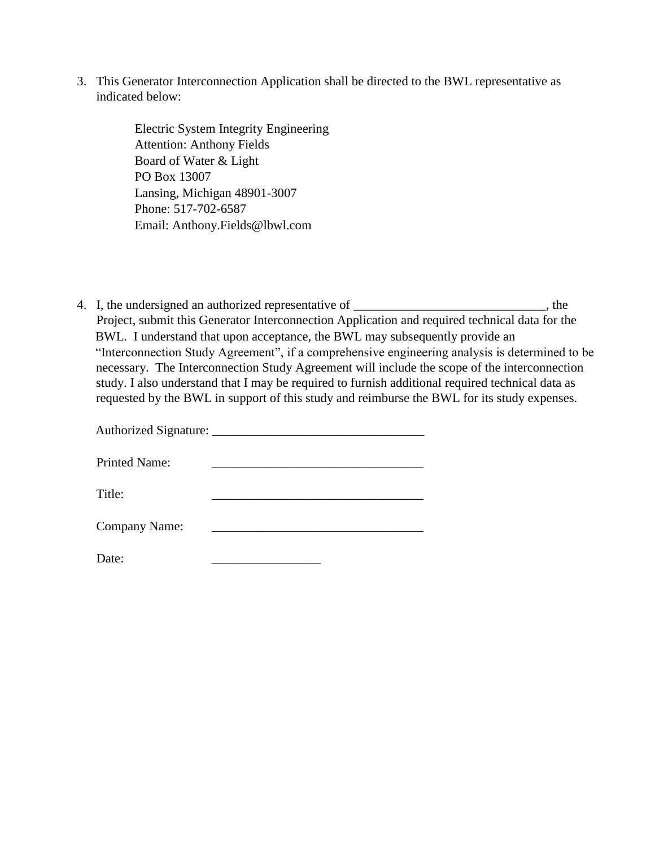3. This Generator Interconnection Application shall be directed to the BWL representative as indicated below:

> Electric System Integrity Engineering Attention: Anthony Fields Board of Water & Light PO Box 13007 Lansing, Michigan 48901-3007 Phone: 517-702-6587 Email: Anthony.Fields@lbwl.com

4. I, the undersigned an authorized representative of \_\_\_\_\_\_\_\_\_\_\_\_\_\_\_\_\_\_\_\_\_, the Project, submit this Generator Interconnection Application and required technical data for the BWL. I understand that upon acceptance, the BWL may subsequently provide an "Interconnection Study Agreement", if a comprehensive engineering analysis is determined to be necessary. The Interconnection Study Agreement will include the scope of the interconnection study. I also understand that I may be required to furnish additional required technical data as requested by the BWL in support of this study and reimburse the BWL for its study expenses.

| <b>Printed Name:</b> |  |
|----------------------|--|
| Title:               |  |
| <b>Company Name:</b> |  |
| Date:                |  |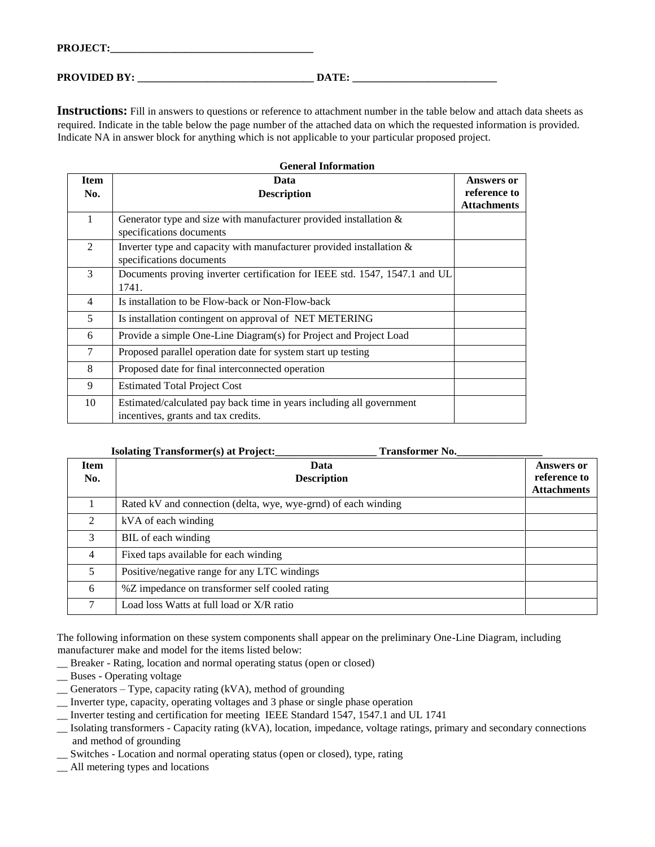**PROVIDED BY: \_\_\_\_\_\_\_\_\_\_\_\_\_\_\_\_\_\_\_\_\_\_\_\_\_\_\_\_\_\_\_\_\_ DATE: \_\_\_\_\_\_\_\_\_\_\_\_\_\_\_\_\_\_\_\_\_\_\_\_\_\_\_** 

**Instructions:** Fill in answers to questions or reference to attachment number in the table below and attach data sheets as required. Indicate in the table below the page number of the attached data on which the requested information is provided. Indicate NA in answer block for anything which is not applicable to your particular proposed project.

| <b>General Information</b> |                                                                            |                    |  |  |
|----------------------------|----------------------------------------------------------------------------|--------------------|--|--|
| <b>Item</b>                | Data                                                                       | Answers or         |  |  |
| No.                        | <b>Description</b>                                                         | reference to       |  |  |
|                            |                                                                            | <b>Attachments</b> |  |  |
| $\mathbf{1}$               | Generator type and size with manufacturer provided installation $\&$       |                    |  |  |
|                            | specifications documents                                                   |                    |  |  |
| $\mathfrak{D}$             | Inverter type and capacity with manufacturer provided installation $\&$    |                    |  |  |
|                            | specifications documents                                                   |                    |  |  |
| 3                          | Documents proving inverter certification for IEEE std. 1547, 1547.1 and UL |                    |  |  |
|                            | 1741.                                                                      |                    |  |  |
| 4                          | Is installation to be Flow-back or Non-Flow-back                           |                    |  |  |
| 5                          | Is installation contingent on approval of NET METERING                     |                    |  |  |
| 6                          | Provide a simple One-Line Diagram(s) for Project and Project Load          |                    |  |  |
| $\tau$                     | Proposed parallel operation date for system start up testing               |                    |  |  |
| 8                          | Proposed date for final interconnected operation                           |                    |  |  |
| 9                          | <b>Estimated Total Project Cost</b>                                        |                    |  |  |
| 10                         | Estimated/calculated pay back time in years including all government       |                    |  |  |
|                            | incentives, grants and tax credits.                                        |                    |  |  |

|                             | <b>Isolating Transformer(s) at Project:</b><br><b>Transformer No.</b> |                                                         |
|-----------------------------|-----------------------------------------------------------------------|---------------------------------------------------------|
| <b>Item</b><br>No.          | Data<br><b>Description</b>                                            | <b>Answers or</b><br>reference to<br><b>Attachments</b> |
|                             | Rated kV and connection (delta, wye, wye-grnd) of each winding        |                                                         |
| $\mathcal{D}_{\mathcal{L}}$ | kVA of each winding                                                   |                                                         |
| 3                           | BIL of each winding                                                   |                                                         |
| 4                           | Fixed taps available for each winding                                 |                                                         |
| 5                           | Positive/negative range for any LTC windings                          |                                                         |
| 6                           | %Z impedance on transformer self cooled rating                        |                                                         |
|                             | Load loss Watts at full load or X/R ratio                             |                                                         |

The following information on these system components shall appear on the preliminary One-Line Diagram, including manufacturer make and model for the items listed below:

\_\_ Breaker - Rating, location and normal operating status (open or closed)

- \_\_ Buses Operating voltage
- \_\_ Generators Type, capacity rating (kVA), method of grounding
- \_\_ Inverter type, capacity, operating voltages and 3 phase or single phase operation
- \_\_ Inverter testing and certification for meeting IEEE Standard 1547, 1547.1 and UL 1741
- \_\_ Isolating transformers Capacity rating (kVA), location, impedance, voltage ratings, primary and secondary connections and method of grounding
- \_\_ Switches Location and normal operating status (open or closed), type, rating
- \_\_ All metering types and locations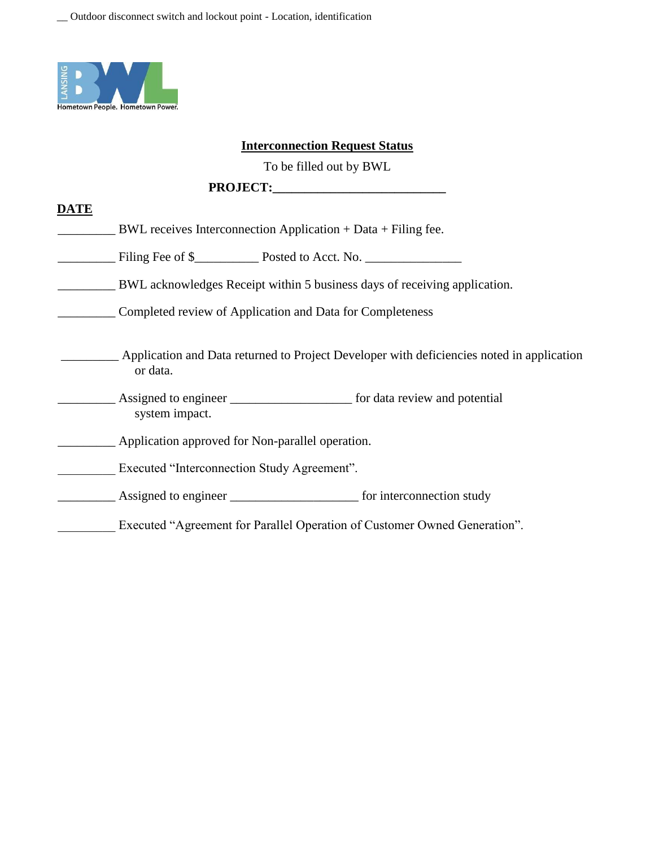

#### **Interconnection Request Status**

To be filled out by BWL

#### PROJECT:

#### **DATE**

- BWL receives Interconnection Application + Data + Filing fee.
- Filing Fee of \$
- \_\_\_\_\_\_\_\_\_ BWL acknowledges Receipt within 5 business days of receiving application.
	- \_\_\_\_\_\_\_\_\_ Completed review of Application and Data for Completeness
	- \_\_\_\_\_\_\_\_\_ Application and Data returned to Project Developer with deficiencies noted in application or data.
- \_\_\_\_\_\_\_\_\_ Assigned to engineer \_\_\_\_\_\_\_\_\_\_\_\_\_\_\_\_\_\_\_ for data review and potential system impact.

**Example 2** Application approved for Non-parallel operation.

- Executed "Interconnection Study Agreement".
- Assigned to engineer the same of the form interconnection study

Executed "Agreement for Parallel Operation of Customer Owned Generation".